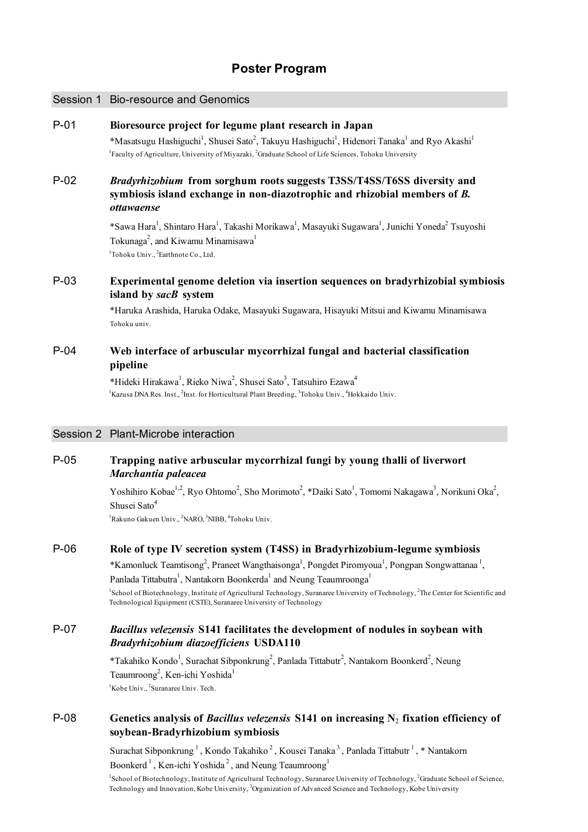# **Poster Program**

#### Session 1 Bio-resource and Genomics

### P-01 **Bioresource project for legume plant research in Japan**

\*Masatsugu Hashiguchi<sup>1</sup>, Shusei Sato<sup>2</sup>, Takuyu Hashiguchi<sup>1</sup>, Hidenori Tanaka<sup>1</sup> and Ryo Akashi<sup>1</sup> <sup>1</sup>Faculty of Agriculture, University of Miyazaki, <sup>2</sup>Graduate School of Life Sciences, Tohoku University

### P-02 *Bradyrhizobium* **from sorghum roots suggests T3SS/T4SS/T6SS diversity and symbiosis island exchange in non-diazotrophic and rhizobial members of** *B. ottawaense*

\*Sawa Hara<sup>1</sup>, Shintaro Hara<sup>1</sup>, Takashi Morikawa<sup>1</sup>, Masayuki Sugawara<sup>1</sup>, Junichi Yoneda<sup>2</sup> Tsuyoshi Tokunaga<sup>2</sup>, and Kiwamu Minamisawa<sup>1</sup> <sup>1</sup>Tohoku Univ., <sup>2</sup>Earthnote Co., Ltd.

## P-03 **Experimental genome deletion via insertion sequences on bradyrhizobial symbiosis island by** *sacB* **system**

\*Haruka Arashida, Haruka Odake, Masayuki Sugawara, Hisayuki Mitsui and Kiwamu Minamisawa Tohoku univ.

# P-04 **Web interface of arbuscular mycorrhizal fungal and bacterial classification pipeline**

\*Hideki Hirakawa<sup>1</sup>, Rieko Niwa<sup>2</sup>, Shusei Sato<sup>3</sup>, Tatsuhiro Ezawa<sup>4</sup> <sup>1</sup>Kazusa DNA Res. Inst., <sup>2</sup>Inst. for Horticultural Plant Breeding, <sup>3</sup>Tohoku Univ., <sup>4</sup>Hokkaido Univ.

#### Session 2 Plant-Microbe interaction

# P-05 **Trapping native arbuscular mycorrhizal fungi by young thalli of liverwort** *Marchantia paleacea*

Yoshihiro Kobae<sup>1,2</sup>, Ryo Ohtomo<sup>2</sup>, Sho Morimoto<sup>2</sup>, \*Daiki Sato<sup>1</sup>, Tomomi Nakagawa<sup>3</sup>, Norikuni Oka<sup>2</sup>, Shusei Sato<sup>4</sup>

<sup>1</sup>Rakuno Gakuen Univ., <sup>2</sup>NARO, <sup>3</sup>NIBB, <sup>4</sup>Tohoku Univ.

#### P-06 **Role of type IV secretion system (T4SS) in Bradyrhizobium-legume symbiosis**

\*Kamonluck Teamtisong<sup>2</sup>, Praneet Wangthaisonga<sup>1</sup>, Pongdet Piromyoua<sup>1</sup>, Pongpan Songwattanaa<sup>1</sup>, Panlada Tittabutra<sup>1</sup>, Nantakorn Boonkerda<sup>1</sup> and Neung Teaumroonga<sup>1</sup> <sup>1</sup>School of Biotechnology, Institute of Agricultural Technology, Suranaree University of Technology, <sup>2</sup>The Center for Scientific and Technological Equipment (CSTE), Suranaree University of Technology

### P-07 *Bacillus velezensis* **S141 facilitates the development of nodules in soybean with** *Bradyrhizobium diazoefficiens* **USDA110**

\*Takahiko Kondo<sup>1</sup>, Surachat Sibponkrung<sup>2</sup>, Panlada Tittabutr<sup>2</sup>, Nantakorn Boonkerd<sup>2</sup>, Neung Teaumroong<sup>2</sup>, Ken-ichi Yoshida<sup>1</sup> <sup>1</sup>Kobe Univ., <sup>2</sup>Suranaree Univ. Tech.

### P-08 **Genetics analysis of** *Bacillus velezensis* **S141 on increasing N**2 **fixation efficiency of soybean-Bradyrhizobium symbiosis**

Surachat Sibponkrung<sup>1</sup>, Kondo Takahiko<sup>2</sup>, Kousei Tanaka<sup>3</sup>, Panlada Tittabutr<sup>1</sup>, \* Nantakorn Boonkerd<sup>1</sup>, Ken-ichi Yoshida<sup>2</sup>, and Neung Teaumroong<sup>1</sup>

<sup>1</sup>School of Biotechnology, Institute of Agricultural Technology, Suranaree University of Technology, <sup>2</sup>Graduate School of Science, Technology and Innovation, Kobe University, <sup>3</sup>Organization of Advanced Science and Technology, Kobe University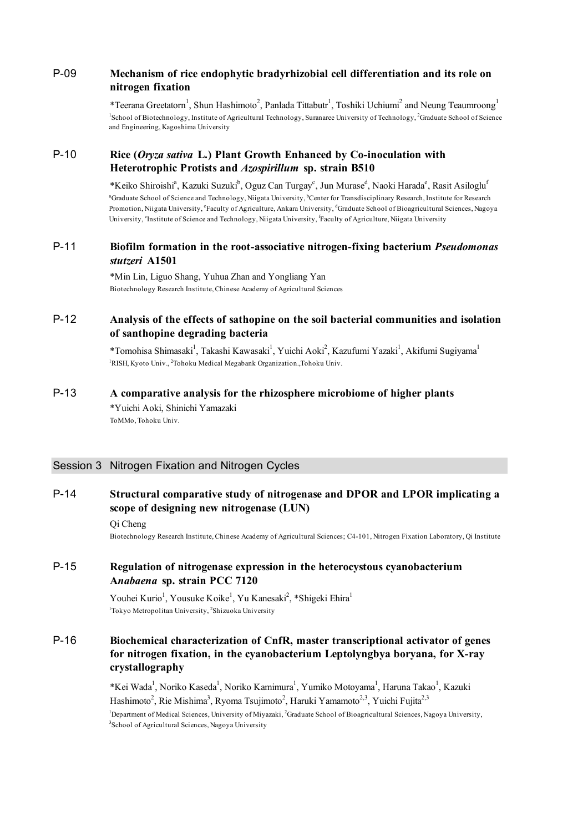# P-09 **Mechanism of rice endophytic bradyrhizobial cell differentiation and its role on nitrogen fixation**

\*Teerana Greetatorn<sup>1</sup>, Shun Hashimoto<sup>2</sup>, Panlada Tittabutr<sup>1</sup>, Toshiki Uchiumi<sup>2</sup> and Neung Teaumroong<sup>1</sup> <sup>1</sup>School of Biotechnology, Institute of Agricultural Technology, Suranaree University of Technology, <sup>2</sup>Graduate School of Science and Engineering, Kagoshima University

# P-10 **Rice (***Oryza sativa* **L.) Plant Growth Enhanced by Co-inoculation with Heterotrophic Protists and** *Azospirillum* **sp. strain B510**

\*Keiko Shiroishi<sup>a</sup>, Kazuki Suzuki<sup>b</sup>, Oguz Can Turgay<sup>c</sup>, Jun Murase<sup>d</sup>, Naoki Harada<sup>e</sup>, Rasit Asiloglu<sup>f</sup> <sup>a</sup>Graduate School of Science and Technology, Niigata University, <sup>b</sup>Center for Transdisciplinary Research, Institute for Research Promotion, Niigata University, <sup>c</sup>Faculty of Agriculture, Ankara University, <sup>d</sup>Graduate School of Bioagricultural Sciences, Nagoya University, <sup>e</sup>Institute of Science and Technology, Niigata University, <sup>f</sup>Faculty of Agriculture, Niigata University

### P-11 **Biofilm formation in the root-associative nitrogen-fixing bacterium** *Pseudomonas stutzeri* **A1501**

\*Min Lin, Liguo Shang, Yuhua Zhan and Yongliang Yan Biotechnology Research Institute, Chinese Academy of Agricultural Sciences

# P-12 **Analysis of the effects of sathopine on the soil bacterial communities and isolation of santhopine degrading bacteria**

\*Tomohisa Shimasaki<sup>1</sup>, Takashi Kawasaki<sup>1</sup>, Yuichi Aoki<sup>2</sup>, Kazufumi Yazaki<sup>1</sup>, Akifumi Sugiyama<sup>1</sup> <sup>1</sup>RISH, Kyoto Univ., <sup>2</sup>Tohoku Medical Megabank Organization.,Tohoku Univ.

### P-13 **A comparative analysis for the rhizosphere microbiome of higher plants**

\*Yuichi Aoki, Shinichi Yamazaki ToMMo, Tohoku Univ.

### Session 3 Nitrogen Fixation and Nitrogen Cycles

### P-14 **Structural comparative study of nitrogenase and DPOR and LPOR implicating a scope of designing new nitrogenase (LUN)**

Qi Cheng

Biotechnology Research Institute, Chinese Academy of Agricultural Sciences; C4-101, Nitrogen Fixation Laboratory, Qi Institute

# P-15 **Regulation of nitrogenase expression in the heterocystous cyanobacterium A***nabaena* **sp. strain PCC 7120**

Youhei Kurio<sup>1</sup>, Yousuke Koike<sup>1</sup>, Yu Kanesaki<sup>2</sup>, \*Shigeki Ehira<sup>1</sup> <sup>1</sup>Tokyo Metropolitan University, <sup>2</sup>Shizuoka University

# P-16 **Biochemical characterization of CnfR, master transcriptional activator of genes for nitrogen fixation, in the cyanobacterium Leptolyngbya boryana, for X-ray crystallography**

\*Kei Wada<sup>1</sup>, Noriko Kaseda<sup>1</sup>, Noriko Kamimura<sup>1</sup>, Yumiko Motoyama<sup>1</sup>, Haruna Takao<sup>1</sup>, Kazuki Hashimoto<sup>2</sup>, Rie Mishima<sup>3</sup>, Ryoma Tsujimoto<sup>2</sup>, Haruki Yamamoto<sup>2,3</sup>, Yuichi Fujita<sup>2,3</sup>

<sup>1</sup>Department of Medical Sciences, University of Miyazaki, <sup>2</sup>Graduate School of Bioagricultural Sciences, Nagoya University, <sup>3</sup>School of Agricultural Sciences, Nagoya University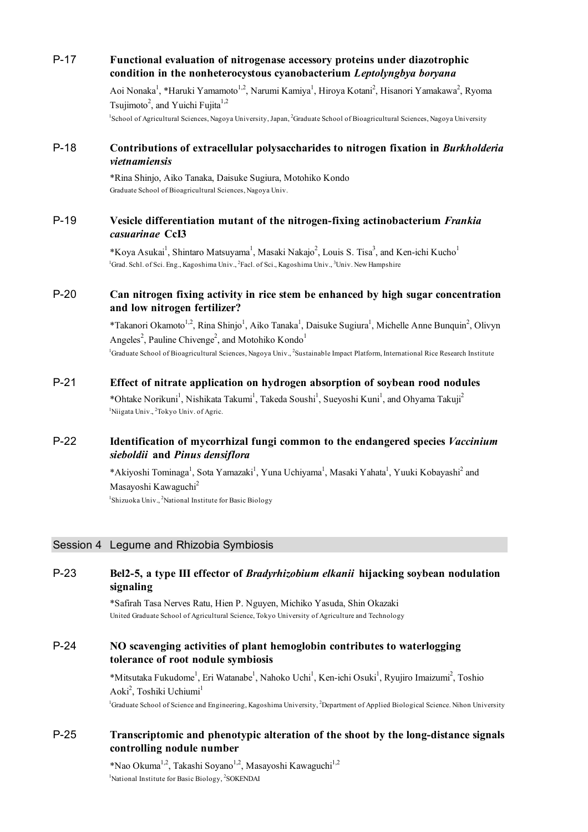|        | condition in the nonheterocystous cyanobacterium Leptolyngbya boryana                                                                                                                                                                                                                                      |
|--------|------------------------------------------------------------------------------------------------------------------------------------------------------------------------------------------------------------------------------------------------------------------------------------------------------------|
|        | Aoi Nonaka <sup>1</sup> , *Haruki Yamamoto <sup>1,2</sup> , Narumi Kamiya <sup>1</sup> , Hiroya Kotani <sup>2</sup> , Hisanori Yamakawa <sup>2</sup> , Ryoma<br>Tsujimoto <sup>2</sup> , and Yuichi Fujita <sup>1,2</sup>                                                                                  |
|        | <sup>1</sup> School of Agricultural Sciences, Nagoya University, Japan, <sup>2</sup> Graduate School of Bioagricultural Sciences, Nagoya University                                                                                                                                                        |
| $P-18$ | Contributions of extracellular polysaccharides to nitrogen fixation in Burkholderia<br>vietnamiensis                                                                                                                                                                                                       |
|        | *Rina Shinjo, Aiko Tanaka, Daisuke Sugiura, Motohiko Kondo<br>Graduate School of Bioagricultural Sciences, Nagoya Univ.                                                                                                                                                                                    |
| $P-19$ | Vesicle differentiation mutant of the nitrogen-fixing actinobacterium Frankia<br>casuarinae CcI3                                                                                                                                                                                                           |
|        | *Koya Asukai <sup>1</sup> , Shintaro Matsuyama <sup>1</sup> , Masaki Nakajo <sup>2</sup> , Louis S. Tisa <sup>3</sup> , and Ken-ichi Kucho <sup>1</sup><br><sup>1</sup> Grad. Schl. of Sci. Eng., Kagoshima Univ., <sup>2</sup> Facl. of Sci., Kagoshima Univ., <sup>3</sup> Univ. New Hampshire           |
| $P-20$ | Can nitrogen fixing activity in rice stem be enhanced by high sugar concentration<br>and low nitrogen fertilizer?                                                                                                                                                                                          |
|        | *Takanori Okamoto <sup>1,2</sup> , Rina Shinjo <sup>1</sup> , Aiko Tanaka <sup>1</sup> , Daisuke Sugiura <sup>1</sup> , Michelle Anne Bunquin <sup>2</sup> , Olivyn<br>Angeles <sup>2</sup> , Pauline Chivenge <sup>2</sup> , and Motohiko Kondo <sup>1</sup>                                              |
|        | <sup>1</sup> Graduate School of Bioagricultural Sciences, Nagoya Univ., <sup>2</sup> Sustainable Impact Platform, International Rice Research Institute                                                                                                                                                    |
| $P-21$ | Effect of nitrate application on hydrogen absorption of soybean rood nodules<br>*Ohtake Norikuni <sup>1</sup> , Nishikata Takumi <sup>1</sup> , Takeda Soushi <sup>1</sup> , Sueyoshi Kuni <sup>1</sup> , and Ohyama Takuji <sup>2</sup><br><sup>1</sup> Niigata Univ., <sup>2</sup> Tokyo Univ. of Agric. |
| $P-22$ | Identification of mycorrhizal fungi common to the endangered species Vaccinium<br>sieboldii and Pinus densiflora                                                                                                                                                                                           |
|        | *Akiyoshi Tominaga <sup>1</sup> , Sota Yamazaki <sup>1</sup> , Yuna Uchiyama <sup>1</sup> , Masaki Yahata <sup>1</sup> , Yuuki Kobayashi <sup>2</sup> and<br>Masayoshi Kawaguchi <sup>2</sup>                                                                                                              |
|        | <sup>1</sup> Shizuoka Univ., <sup>2</sup> National Institute for Basic Biology                                                                                                                                                                                                                             |
|        | Session 4 Legume and Rhizobia Symbiosis                                                                                                                                                                                                                                                                    |
| $P-23$ | Bel2-5, a type III effector of <i>Bradyrhizobium elkanii</i> hijacking soybean nodulation<br>signaling                                                                                                                                                                                                     |
|        | *Safirah Tasa Nerves Ratu, Hien P. Nguyen, Michiko Yasuda, Shin Okazaki<br>United Graduate School of Agricultural Science, Tokyo University of Agriculture and Technology                                                                                                                                  |
| $P-24$ | NO scavenging activities of plant hemoglobin contributes to waterlogging<br>tolerance of root nodule symbiosis                                                                                                                                                                                             |
|        | *Mitsutaka Fukudome <sup>1</sup> , Eri Watanabe <sup>1</sup> , Nahoko Uchi <sup>1</sup> , Ken-ichi Osuki <sup>1</sup> , Ryujiro Imaizumi <sup>2</sup> , Toshio<br>Aoki <sup>2</sup> , Toshiki Uchiumi <sup>1</sup>                                                                                         |
|        | <sup>1</sup> Graduate School of Science and Engineering, Kagoshima University, <sup>2</sup> Department of Applied Biological Science. Nihon University                                                                                                                                                     |

P-17 **Functional evaluation of nitrogenase accessory proteins under diazotrophic**

# P-25 **Transcriptomic and phenotypic alteration of the shoot by the long-distance signals controlling nodule number**

\*Nao Okuma $^{1,2},$  Takashi Soyano $^{1,2},$  Masayoshi Kawaguchi $^{1,2}$ <sup>1</sup>National Institute for Basic Biology, <sup>2</sup>SOKENDAI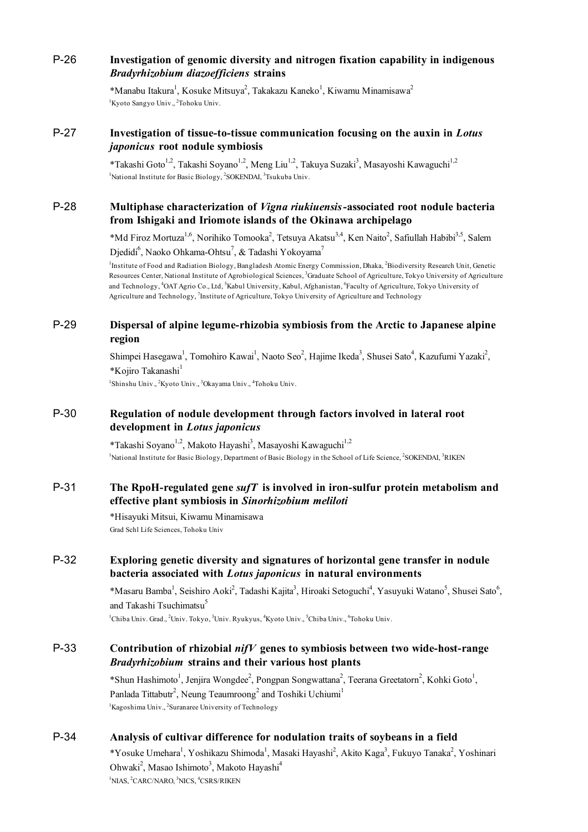# P-26 **Investigation of genomic diversity and nitrogen fixation capability in indigenous** *Bradyrhizobium diazoefficiens* **strains**

\*Manabu Itakura<sup>1</sup>, Kosuke Mitsuya<sup>2</sup>, Takakazu Kaneko<sup>1</sup>, Kiwamu Minamisawa<sup>2</sup> <sup>1</sup>Kyoto Sangyo Univ., <sup>2</sup>Tohoku Univ.

# P-27 **Investigation of tissue-to-tissue communication focusing on the auxin in** *Lotus japonicus* **root nodule symbiosis**

\*Takashi Goto<sup>1,2</sup>, Takashi Soyano<sup>1,2</sup>, Meng Liu<sup>1,2</sup>, Takuya Suzaki<sup>3</sup>, Masayoshi Kawaguchi<sup>1,2</sup> <sup>1</sup>National Institute for Basic Biology, <sup>2</sup>SOKENDAI, <sup>3</sup>Tsukuba Univ.

### P-28 **Multiphase characterization of** *Vigna riukiuensis***-associated root nodule bacteria from Ishigaki and Iriomote islands of the Okinawa archipelago**

\*Md Firoz Mortuza<sup>1,6</sup>, Norihiko Tomooka<sup>2</sup>, Tetsuya Akatsu<sup>3,4</sup>, Ken Naito<sup>2</sup>, Safiullah Habibi<sup>3,5</sup>, Salem Djedidi<sup>6</sup>, Naoko Ohkama-Ohtsu<sup>7</sup>, & Tadashi Yokoyama<sup>7</sup>

<sup>1</sup>Institute of Food and Radiation Biology, Bangladesh Atomic Energy Commission, Dhaka, <sup>2</sup>Biodiversity Research Unit, Genetic Resources Center, National Institute of Agrobiological Sciences, <sup>3</sup>Graduate School of Agriculture, Tokyo University of Agriculture and Technology, <sup>4</sup>OAT Agrio Co., Ltd, <sup>5</sup>Kabul University, Kabul, Afghanistan, <sup>6</sup>Faculty of Agriculture, Tokyo University of Agriculture and Technology, 7 Institute of Agriculture, Tokyo University of Agriculture and Technology

### P-29 **Dispersal of alpine legume-rhizobia symbiosis from the Arctic to Japanese alpine region**

Shimpei Hasegawa<sup>1</sup>, Tomohiro Kawai<sup>1</sup>, Naoto Seo<sup>2</sup>, Hajime Ikeda<sup>3</sup>, Shusei Sato<sup>4</sup>, Kazufumi Yazaki<sup>2</sup>, \*Kojiro Takanashi<sup>1</sup>

<sup>1</sup>Shinshu Univ., <sup>2</sup>Kyoto Univ., <sup>3</sup>Okayama Univ., <sup>4</sup>Tohoku Univ.

# P-30 **Regulation of nodule development through factors involved in lateral root development in** *Lotus japonicus*

\*Takashi Soyano<sup>1,2</sup>, Makoto Hayashi<sup>3</sup>, Masayoshi Kawaguchi<sup>1,2</sup> <sup>1</sup>National Institute for Basic Biology, Department of Basic Biology in the School of Life Science, <sup>2</sup>SOKENDAI, <sup>3</sup>RIKEN

# P-31 **The RpoH-regulated gene** *sufT* **is involved in iron-sulfur protein metabolism and effective plant symbiosis in** *Sinorhizobium meliloti*

\*Hisayuki Mitsui, Kiwamu Minamisawa Grad Schl Life Sciences, Tohoku Univ

# P-32 **Exploring genetic diversity and signatures of horizontal gene transfer in nodule bacteria associated with** *Lotus japonicus* **in natural environments**

\*Masaru Bamba<sup>1</sup>, Seishiro Aoki<sup>2</sup>, Tadashi Kajita<sup>3</sup>, Hiroaki Setoguchi<sup>4</sup>, Yasuyuki Watano<sup>5</sup>, Shusei Sato<sup>6</sup>, and Takashi Tsuchimatsu<sup>5</sup>

<sup>1</sup>Chiba Univ. Grad., <sup>2</sup>Univ. Tokyo, <sup>3</sup>Univ. Ryukyus, <sup>4</sup>Kyoto Univ., <sup>5</sup>Chiba Univ., <sup>6</sup>Tohoku Univ.

### P-33 **Contribution of rhizobial** *nifV* **genes to symbiosis between two wide-host-range** *Bradyrhizobium* **strains and their various host plants**

\*Shun Hashimoto<sup>1</sup>, Jenjira Wongdee<sup>2</sup>, Pongpan Songwattana<sup>2</sup>, Teerana Greetatorn<sup>2</sup>, Kohki Goto<sup>1</sup>, Panlada Tittabutr<sup>2</sup>, Neung Teaumroong<sup>2</sup> and Toshiki Uchiumi<sup>1</sup> <sup>1</sup>Kagoshima Univ., <sup>2</sup>Suranaree University of Technology

# P-34 **Analysis of cultivar difference for nodulation traits of soybeans in a field**

\*Yosuke Umehara<sup>1</sup>, Yoshikazu Shimoda<sup>1</sup>, Masaki Hayashi<sup>2</sup>, Akito Kaga<sup>3</sup>, Fukuyo Tanaka<sup>2</sup>, Yoshinari Ohwaki<sup>2</sup>, Masao Ishimoto<sup>3</sup>, Makoto Hayashi<sup>4</sup> <sup>1</sup>NIAS, <sup>2</sup>CARC/NARO, <sup>3</sup>NICS, <sup>4</sup>CSRS/RIKEN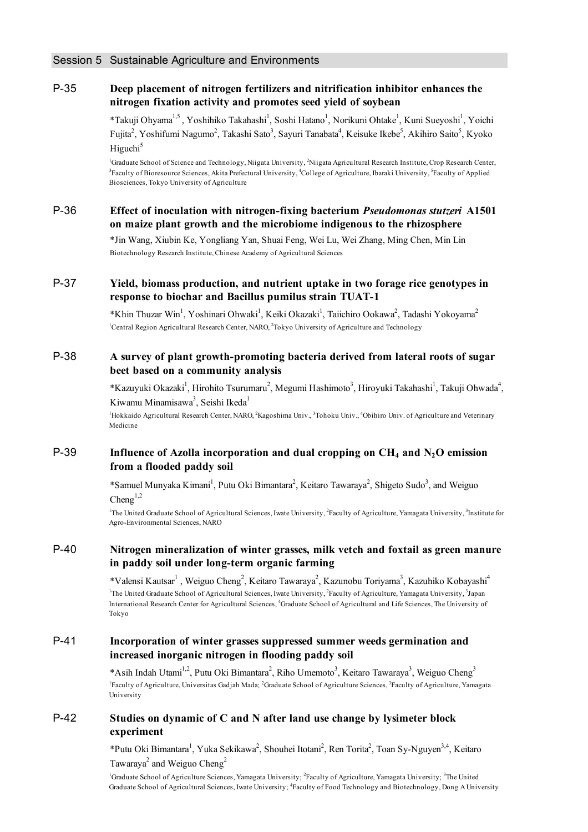### P-35 **Deep placement of nitrogen fertilizers and nitrification inhibitor enhances the nitrogen fixation activity and promotes seed yield of soybean**

\*Takuji Ohyama<sup>1,5</sup>, Yoshihiko Takahashi<sup>1</sup>, Soshi Hatano<sup>1</sup>, Norikuni Ohtake<sup>1</sup>, Kuni Sueyoshi<sup>1</sup>, Yoichi Fujita<sup>2</sup>, Yoshifumi Nagumo<sup>2</sup>, Takashi Sato<sup>3</sup>, Sayuri Tanabata<sup>4</sup>, Keisuke Ikebe<sup>5</sup>, Akihiro Saito<sup>5</sup>, Kyoko Higuchi<sup>5</sup>

<sup>1</sup>Graduate School of Science and Technology, Niigata University, <sup>2</sup>Niigata Agricultural Research Institute, Crop Research Center, <sup>3</sup> Faculty of Bioresource Sciences, Akita Prefectural University, <sup>4</sup>College of Agriculture, Ibaraki University, <sup>5</sup> Faculty of Applied Biosciences, Tokyo University of Agriculture

### P-36 **Effect of inoculation with nitrogen-fixing bacterium** *Pseudomonas stutzeri* **A1501 on maize plant growth and the microbiome indigenous to the rhizosphere**

\*Jin Wang, Xiubin Ke, Yongliang Yan, Shuai Feng, Wei Lu, Wei Zhang, Ming Chen, Min Lin Biotechnology Research Institute, Chinese Academy of Agricultural Sciences

### P-37 **Yield, biomass production, and nutrient uptake in two forage rice genotypes in response to biochar and Bacillus pumilus strain TUAT-1**

\*Khin Thuzar Win<sup>1</sup>, Yoshinari Ohwaki<sup>1</sup>, Keiki Okazaki<sup>1</sup>, Taiichiro Ookawa<sup>2</sup>, Tadashi Yokoyama<sup>2</sup> <sup>1</sup>Central Region Agricultural Research Center, NARO, <sup>2</sup>Tokyo University of Agriculture and Technology

### P-38 **A survey of plant growth-promoting bacteria derived from lateral roots of sugar beet based on a community analysis**

\*Kazuyuki Okazaki<sup>1</sup>, Hirohito Tsurumaru<sup>2</sup>, Megumi Hashimoto<sup>3</sup>, Hiroyuki Takahashi<sup>1</sup>, Takuji Ohwada<sup>4</sup>, Kiwamu Minamisawa<sup>3</sup>, Seishi Ikeda<sup>1</sup>

<sup>1</sup>Hokkaido Agricultural Research Center, NARO, <sup>2</sup>Kagoshima Univ., <sup>3</sup>Tohoku Univ., <sup>4</sup>Obihiro Univ. of Agriculture and Veterinary Medicine

# P-39 **Influence of Azolla incorporation and dual cropping on CH<sub>4</sub> and N<sub>2</sub>O emission from a flooded paddy soil**

\*Samuel Munyaka Kimani<sup>1</sup>, Putu Oki Bimantara<sup>2</sup>, Keitaro Tawaraya<sup>2</sup>, Shigeto Sudo<sup>3</sup>, and Weiguo Cheng $^{1,2}$ 

<sup>1</sup>The United Graduate School of Agricultural Sciences, Iwate University, <sup>2</sup>Faculty of Agriculture, Yamagata University, <sup>3</sup>Institute for Agro-Environmental Sciences, NARO

## P-40 **Nitrogen mineralization of winter grasses, milk vetch and foxtail as green manure in paddy soil under long-term organic farming**

\*Valensi Kautsar<sup>1</sup>, Weiguo Cheng<sup>2</sup>, Keitaro Tawaraya<sup>2</sup>, Kazunobu Toriyama<sup>3</sup>, Kazuhiko Kobayashi<sup>4</sup> <sup>1</sup>The United Graduate School of Agricultural Sciences, Iwate University, <sup>2</sup>Faculty of Agriculture, Yamagata University, <sup>3</sup>Japan International Research Center for Agricultural Sciences, <sup>4</sup>Graduate School of Agricultural and Life Sciences, The University of Tokyo

### P-41 **Incorporation of winter grasses suppressed summer weeds germination and increased inorganic nitrogen in flooding paddy soil**

\*Asih Indah Utami<sup>1,2</sup>, Putu Oki Bimantara<sup>2</sup>, Riho Umemoto<sup>3</sup>, Keitaro Tawaraya<sup>3</sup>, Weiguo Cheng<sup>3</sup> <sup>1</sup> Faculty of Agriculture, Universitas Gadjah Mada; <sup>2</sup> Graduate School of Agriculture Sciences, <sup>3</sup> Faculty of Agriculture, Yamagata University

### P-42 **Studies on dynamic of C and N after land use change by lysimeter block experiment**

\*Putu Oki Bimantara<sup>1</sup>, Yuka Sekikawa<sup>2</sup>, Shouhei Itotani<sup>2</sup>, Ren Torita<sup>2</sup>, Toan Sy-Nguyen<sup>3,4</sup>, Keitaro Tawaraya<sup>2</sup> and Weiguo Cheng<sup>2</sup>

<sup>1</sup>Graduate School of Agriculture Sciences, Yamagata University; <sup>2</sup>Faculty of Agriculture, Yamagata University; <sup>3</sup>The United Graduate School of Agricultural Sciences, Iwate University; <sup>4</sup>Faculty of Food Technology and Biotechnology, Dong A University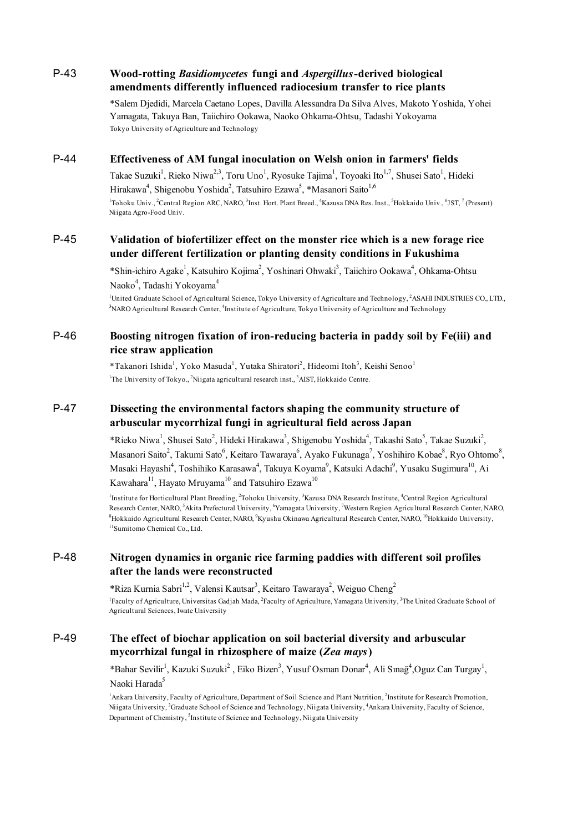## P-43 **Wood-rotting** *Basidiomycetes* **fungi and** *Aspergillus***-derived biological amendments differently influenced radiocesium transfer to rice plants**

\*Salem Djedidi, Marcela Caetano Lopes, Davilla Alessandra Da Silva Alves, Makoto Yoshida, Yohei Yamagata, Takuya Ban, Taiichiro Ookawa, Naoko Ohkama-Ohtsu, Tadashi Yokoyama Tokyo University of Agriculture and Technology

### P-44 **Effectiveness of AM fungal inoculation on Welsh onion in farmers' fields**

Takae Suzuki<sup>1</sup>, Rieko Niwa<sup>2,3</sup>, Toru Uno<sup>1</sup>, Ryosuke Tajima<sup>1</sup>, Toyoaki Ito<sup>1,7</sup>, Shusei Sato<sup>1</sup>, Hideki Hirakawa<sup>4</sup>, Shigenobu Yoshida<sup>2</sup>, Tatsuhiro Ezawa<sup>5</sup>, \*Masanori Saito<sup>1,6</sup> <sup>1</sup>Tohoku Univ., <sup>2</sup>Central Region ARC, NARO, <sup>3</sup>Inst. Hort. Plant Breed., <sup>4</sup>Kazusa DNA Res. Inst., <sup>5</sup>Hokkaido Univ., <sup>6</sup>JST, <sup>7</sup> (Present) Niigata Agro-Food Univ.

### P-45 **Validation of biofertilizer effect on the monster rice which is a new forage rice under different fertilization or planting density conditions in Fukushima**

\*Shin-ichiro Agake<sup>1</sup>, Katsuhiro Kojima<sup>2</sup>, Yoshinari Ohwaki<sup>3</sup>, Taiichiro Ookawa<sup>4</sup>, Ohkama-Ohtsu Naoko<sup>4</sup>, Tadashi Yokoyama<sup>4</sup>

<sup>1</sup>United Graduate School of Agricultural Science, Tokyo University of Agriculture and Technology, <sup>2</sup>ASAHI INDUSTRIES CO., LTD., <sup>3</sup>NARO Agricultural Research Center, <sup>4</sup>Institute of Agriculture, Tokyo University of Agriculture and Technology

### P-46 **Boosting nitrogen fixation of iron-reducing bacteria in paddy soil by Fe(iii) and rice straw application**

\*Takanori Ishida<sup>1</sup>, Yoko Masuda<sup>1</sup>, Yutaka Shiratori<sup>2</sup>, Hideomi Itoh<sup>3</sup>, Keishi Senoo<sup>1</sup> <sup>1</sup>The University of Tokyo., <sup>2</sup>Niigata agricultural research inst., <sup>3</sup>AIST, Hokkaido Centre.

### P-47 **Dissecting the environmental factors shaping the community structure of arbuscular mycorrhizal fungi in agricultural field across Japan**

\*Rieko Niwa<sup>1</sup>, Shusei Sato<sup>2</sup>, Hideki Hirakawa<sup>3</sup>, Shigenobu Yoshida<sup>4</sup>, Takashi Sato<sup>5</sup>, Takae Suzuki<sup>2</sup>, Masanori Saito $^2$ , Takumi Sato $^6$ , Keitaro Tawaraya $^6$ , Ayako Fukunaga $^7$ , Yoshihiro Kobae $^8$ , Ryo Ohtomo $^8$ , Masaki Hayashi<sup>4</sup>, Toshihiko Karasawa<sup>4</sup>, Takuya Koyama<sup>9</sup>, Katsuki Adachi<sup>9</sup>, Yusaku Sugimura<sup>10</sup>, Ai Kawahara<sup>11</sup>, Hayato Mruyama<sup>10</sup> and Tatsuhiro Ezawa<sup>10</sup>

<sup>1</sup>Institute for Horticultural Plant Breeding, <sup>2</sup>Tohoku University, <sup>3</sup>Kazusa DNA Research Institute, <sup>4</sup>Central Region Agricultural Research Center, NARO, <sup>5</sup>Akita Prefectural University, <sup>6</sup>Yamagata University, <sup>7</sup>Western Region Agricultural Research Center, NARO, <sup>8</sup>Hokkaido Agricultural Research Center, NARO, <sup>9</sup>Kyushu Okinawa Agricultural Research Center, NARO, <sup>10</sup>Hokkaido University, 11Sumitomo Chemical Co., Ltd.

# P-48 **Nitrogen dynamics in organic rice farming paddies with different soil profiles after the lands were reconstructed**

\*Riza Kurnia Sabri<sup>1,2</sup>, Valensi Kautsar<sup>3</sup>, Keitaro Tawaraya<sup>2</sup>, Weiguo Cheng<sup>2</sup> <sup>1</sup>Faculty of Agriculture, Universitas Gadjah Mada, <sup>2</sup>Faculty of Agriculture, Yamagata University, <sup>3</sup>The United Graduate School of Agricultural Sciences, Iwate University

# P-49 **The effect of biochar application on soil bacterial diversity and arbuscular mycorrhizal fungal in rhizosphere of maize (***Zea mays***)**

\*Bahar Sevilir<sup>1</sup>, Kazuki Suzuki<sup>2</sup>, Eiko Bizen<sup>3</sup>, Yusuf Osman Donar<sup>4</sup>, Ali Sınağ<sup>4</sup>,Oguz Can Turgay<sup>1</sup>, Naoki Harada<sup>5</sup>

<sup>1</sup>Ankara University, Faculty of Agriculture, Department of Soil Science and Plant Nutrition, <sup>2</sup>Institute for Research Promotion, Niigata University, <sup>3</sup>Graduate School of Science and Technology, Niigata University, <sup>4</sup>Ankara University, Faculty of Science, Department of Chemistry, <sup>5</sup>Institute of Science and Technology, Niigata University